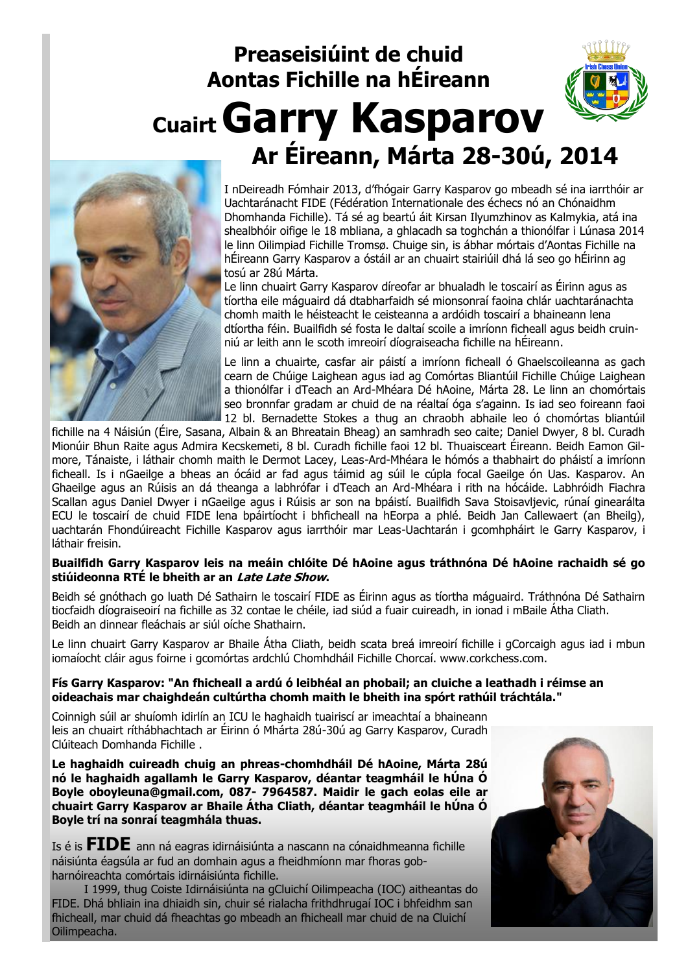## **Preaseisiúint de chuid Aontas Fichille na hÉireann Cuairt Garry Kasparov Ar Éireann, Márta 28-30ú, 2014**



I nDeireadh Fómhair 2013, d'fhógair Garry Kasparov go mbeadh sé ina iarrthóir ar Uachtaránacht FIDE (Fédération Internationale des échecs nó an Chónaidhm Dhomhanda Fichille). Tá sé ag beartú áit Kirsan Ilyumzhinov as Kalmykia, atá ina shealbhóir oifige le 18 mbliana, a ghlacadh sa toghchán a thionólfar i Lúnasa 2014 le linn Oilimpiad Fichille Tromsø. Chuige sin, is ábhar mórtais d'Aontas Fichille na hÉireann Garry Kasparov a óstáil ar an chuairt stairiúil dhá lá seo go hÉirinn ag tosú ar 28ú Márta.

Le linn chuairt Garry Kasparov díreofar ar bhualadh le toscairí as Éirinn agus as tíortha eile máguaird dá dtabharfaidh sé mionsonraí faoina chlár uachtaránachta chomh maith le héisteacht le ceisteanna a ardóidh toscairí a bhaineann lena dtíortha féin. Buailfidh sé fosta le daltaí scoile a imríonn ficheall agus beidh cruinniú ar leith ann le scoth imreoirí díograiseacha fichille na hÉireann.

Le linn a chuairte, casfar air páistí a imríonn ficheall ó Ghaelscoileanna as gach cearn de Chúige Laighean agus iad ag Comórtas Bliantúil Fichille Chúige Laighean a thionólfar i dTeach an Ard-Mhéara Dé hAoine, Márta 28. Le linn an chomórtais seo bronnfar gradam ar chuid de na réaltaí óga s'againn. Is iad seo foireann faoi 12 bl. Bernadette Stokes a thug an chraobh abhaile leo ó chomórtas bliantúil

fichille na 4 Náisiún (Éire, Sasana, Albain & an Bhreatain Bheag) an samhradh seo caite; Daniel Dwyer, 8 bl. Curadh Mionúir Bhun Raite agus Admira Kecskemeti, 8 bl. Curadh fichille faoi 12 bl. Thuaisceart Éireann. Beidh Eamon Gilmore, Tánaiste, i láthair chomh maith le Dermot Lacey, Leas-Ard-Mhéara le hómós a thabhairt do pháistí a imríonn ficheall. Is i nGaeilge a bheas an ócáid ar fad agus táimid ag súil le cúpla focal Gaeilge ón Uas. Kasparov. An Ghaeilge agus an Rúisis an dá theanga a labhrófar i dTeach an Ard-Mhéara i rith na hócáide. Labhróidh Fiachra Scallan agus Daniel Dwyer i nGaeilge agus i Rúisis ar son na bpáistí. Buailfidh Sava Stoisavljevic, rúnaí ginearálta ECU le toscairí de chuid FIDE lena bpáirtíocht i bhficheall na hEorpa a phlé. Beidh Jan Callewaert (an Bheilg), uachtarán Fhondúireacht Fichille Kasparov agus iarrthóir mar Leas-Uachtarán i gcomhpháirt le Garry Kasparov, i láthair freisin.

#### **Buailfidh Garry Kasparov leis na meáin chlóite Dé hAoine agus tráthnóna Dé hAoine rachaidh sé go stiúideonna RTÉ le bheith ar an Late Late Show.**

Beidh sé gnóthach go luath Dé Sathairn le toscairí FIDE as Éirinn agus as tíortha máguaird. Tráthnóna Dé Sathairn tiocfaidh díograiseoirí na fichille as 32 contae le chéile, iad siúd a fuair cuireadh, in ionad i mBaile Átha Cliath. Beidh an dinnear fleáchais ar siúl oíche Shathairn.

Le linn chuairt Garry Kasparov ar Bhaile Átha Cliath, beidh scata breá imreoirí fichille i gCorcaigh agus iad i mbun iomaíocht cláir agus foirne i gcomórtas ardchlú Chomhdháil Fichille Chorcaí. www.corkchess.com.

#### **Fís Garry Kasparov: "An fhicheall a ardú ó leibhéal an phobail; an cluiche a leathadh i réimse an oideachais mar chaighdeán cultúrtha chomh maith le bheith ina spórt rathúil tráchtála."**

Coinnigh súil ar shuíomh idirlín an ICU le haghaidh tuairiscí ar imeachtaí a bhaineann leis an chuairt ríthábhachtach ar Éirinn ó Mhárta 28ú-30ú ag Garry Kasparov, Curadh Clúiteach Domhanda Fichille .

**Le haghaidh cuireadh chuig an phreas-chomhdháil Dé hAoine, Márta 28ú nó le haghaidh agallamh le Garry Kasparov, déantar teagmháil le hÚna Ó Boyle oboyleuna@gmail.com, 087- 7964587. Maidir le gach eolas eile ar chuairt Garry Kasparov ar Bhaile Átha Cliath, déantar teagmháil le hÚna Ó Boyle trí na sonraí teagmhála thuas.**

Is é is **FIDE** ann ná eagras idirnáisiúnta a nascann na cónaidhmeanna fichille náisiúnta éagsúla ar fud an domhain agus a fheidhmíonn mar fhoras gobharnóireachta comórtais idirnáisiúnta fichille.

I 1999, thug Coiste Idirnáisiúnta na gCluichí Oilimpeacha (IOC) aitheantas do FIDE. Dhá bhliain ina dhiaidh sin, chuir sé rialacha frithdhrugaí IOC i bhfeidhm san fhicheall, mar chuid dá fheachtas go mbeadh an fhicheall mar chuid de na Cluichí Oilimpeacha.

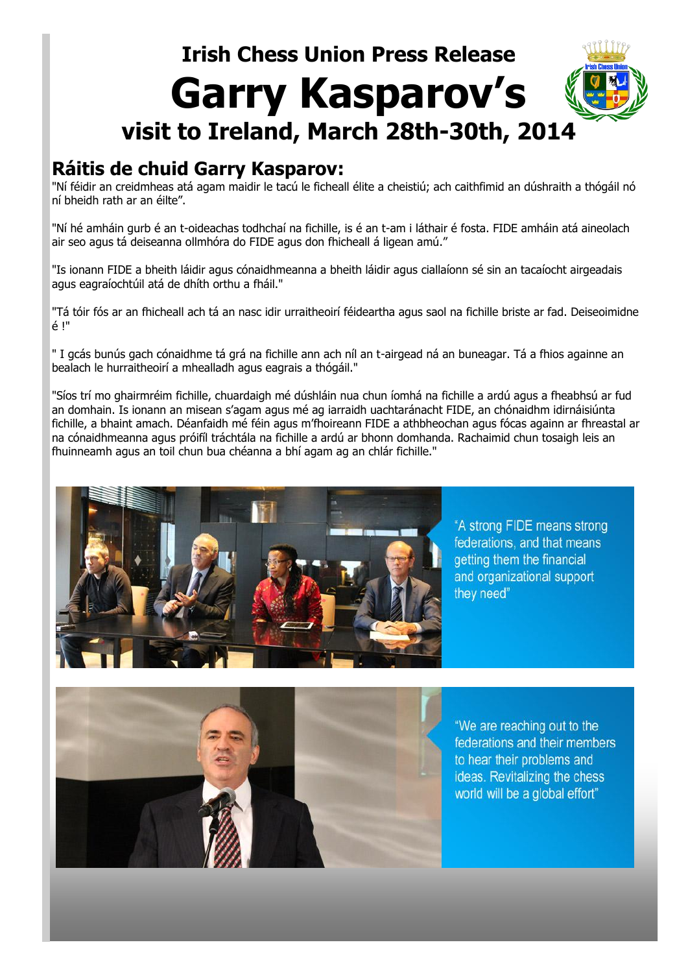# **Irish Chess Union Press Release Garry Kasparov's visit to Ireland, March 28th-30th, 2014**

### **Ráitis de chuid Garry Kasparov:**

"Ní féidir an creidmheas atá agam maidir le tacú le ficheall élite a cheistiú; ach caithfimid an dúshraith a thógáil nó ní bheidh rath ar an éilte".

"Ní hé amháin gurb é an t-oideachas todhchaí na fichille, is é an t-am i láthair é fosta. FIDE amháin atá aineolach air seo agus tá deiseanna ollmhóra do FIDE agus don fhicheall á ligean amú."

"Is ionann FIDE a bheith láidir agus cónaidhmeanna a bheith láidir agus ciallaíonn sé sin an tacaíocht airgeadais agus eagraíochtúil atá de dhíth orthu a fháil."

"Tá tóir fós ar an fhicheall ach tá an nasc idir urraitheoirí féideartha agus saol na fichille briste ar fad. Deiseoimidne é !"

" I gcás bunús gach cónaidhme tá grá na fichille ann ach níl an t-airgead ná an buneagar. Tá a fhios againne an bealach le hurraitheoirí a mhealladh agus eagrais a thógáil."

"Síos trí mo ghairmréim fichille, chuardaigh mé dúshláin nua chun íomhá na fichille a ardú agus a fheabhsú ar fud an domhain. Is ionann an misean s'agam agus mé ag iarraidh uachtaránacht FIDE, an chónaidhm idirnáisiúnta fichille, a bhaint amach. Déanfaidh mé féin agus m'fhoireann FIDE a athbheochan agus fócas againn ar fhreastal ar na cónaidhmeanna agus próifíl tráchtála na fichille a ardú ar bhonn domhanda. Rachaimid chun tosaigh leis an fhuinneamh agus an toil chun bua chéanna a bhí agam ag an chlár fichille."



"A strong FIDE means strong federations, and that means getting them the financial and organizational support they need"



"We are reaching out to the federations and their members to hear their problems and ideas. Revitalizing the chess world will be a global effort"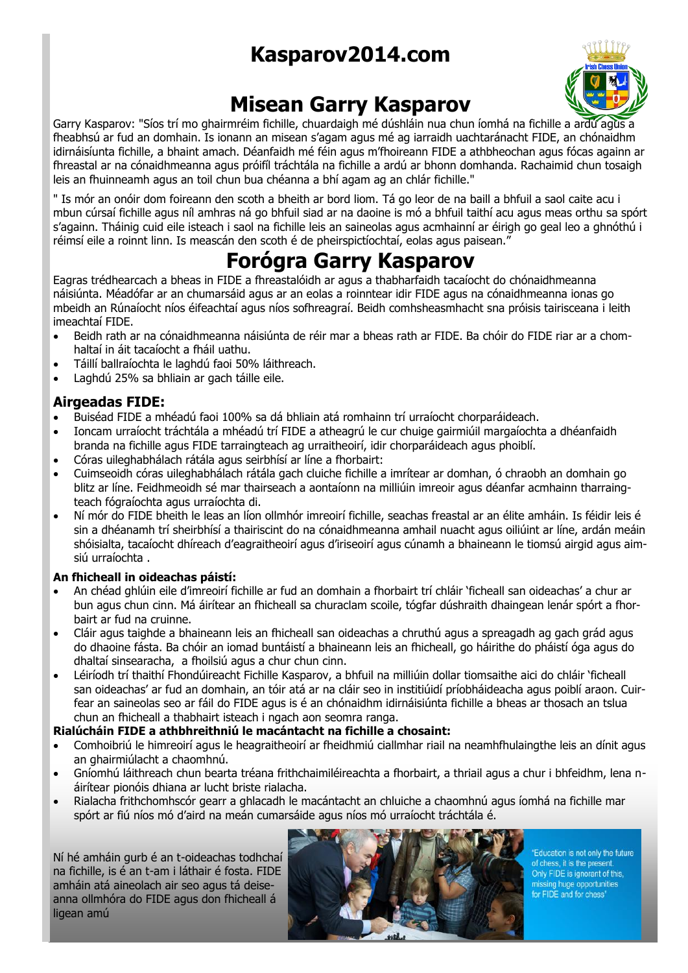## **Kasparov2014.com**



### **Misean Garry Kasparov**

Garry Kasparov: "Síos trí mo ghairmréim fichille, chuardaigh mé dúshláin nua chun íomhá na fichille a ardú agus a fheabhsú ar fud an domhain. Is ionann an misean s'agam agus mé ag iarraidh uachtaránacht FIDE, an chónaidhm idirnáisíunta fichille, a bhaint amach. Déanfaidh mé féin agus m'fhoireann FIDE a athbheochan agus fócas againn ar fhreastal ar na cónaidhmeanna agus próifíl tráchtála na fichille a ardú ar bhonn domhanda. Rachaimid chun tosaigh leis an fhuinneamh agus an toil chun bua chéanna a bhí agam ag an chlár fichille."

" Is mór an onóir dom foireann den scoth a bheith ar bord liom. Tá go leor de na baill a bhfuil a saol caite acu i mbun cúrsaí fichille agus níl amhras ná go bhfuil siad ar na daoine is mó a bhfuil taithí acu agus meas orthu sa spórt s'againn. Tháinig cuid eile isteach i saol na fichille leis an saineolas agus acmhainní ar éirigh go geal leo a ghnóthú i réimsí eile a roinnt linn. Is meascán den scoth é de pheirspictíochtaí, eolas agus paisean."

### **Forógra Garry Kasparov**

Eagras trédhearcach a bheas in FIDE a fhreastalóidh ar agus a thabharfaidh tacaíocht do chónaidhmeanna náisiúnta. Méadófar ar an chumarsáid agus ar an eolas a roinntear idir FIDE agus na cónaidhmeanna ionas go mbeidh an Rúnaíocht níos éifeachtaí agus níos sofhreagraí. Beidh comhsheasmhacht sna próisis tairisceana i leith imeachtaí FIDE.

- Beidh rath ar na cónaidhmeanna náisiúnta de réir mar a bheas rath ar FIDE. Ba chóir do FIDE riar ar a chomhaltaí in áit tacaíocht a fháil uathu.
- Táillí ballraíochta le laghdú faoi 50% láithreach.
- Laghdú 25% sa bhliain ar gach táille eile.

### **Airgeadas FIDE:**

- Buiséad FIDE a mhéadú faoi 100% sa dá bhliain atá romhainn trí urraíocht chorparáideach.
- Ioncam urraíocht tráchtála a mhéadú trí FIDE a atheagrú le cur chuige gairmiúil margaíochta a dhéanfaidh branda na fichille agus FIDE tarraingteach ag urraitheoirí, idir chorparáideach agus phoiblí.
- Córas uileghabhálach rátála agus seirbhísí ar líne a fhorbairt:
- Cuimseoidh córas uileghabhálach rátála gach cluiche fichille a imrítear ar domhan, ó chraobh an domhain go blitz ar líne. Feidhmeoidh sé mar thairseach a aontaíonn na milliúin imreoir agus déanfar acmhainn tharraingteach fógraíochta agus urraíochta di.
- Ní mór do FIDE bheith le leas an líon ollmhór imreoirí fichille, seachas freastal ar an élite amháin. Is féidir leis é sin a dhéanamh trí sheirbhísí a thairiscint do na cónaidhmeanna amhail nuacht agus oiliúint ar líne, ardán meáin shóisialta, tacaíocht dhíreach d'eagraitheoirí agus d'iriseoirí agus cúnamh a bhaineann le tiomsú airgid agus aimsiú urraíochta .

### **An fhicheall in oideachas páistí:**

- An chéad ghlúin eile d'imreoirí fichille ar fud an domhain a fhorbairt trí chláir 'ficheall san oideachas' a chur ar bun agus chun cinn. Má áirítear an fhicheall sa churaclam scoile, tógfar dúshraith dhaingean lenár spórt a fhorbairt ar fud na cruinne.
- Cláir agus taighde a bhaineann leis an fhicheall san oideachas a chruthú agus a spreagadh ag gach grád agus do dhaoine fásta. Ba chóir an iomad buntáistí a bhaineann leis an fhicheall, go háirithe do pháistí óga agus do dhaltaí sinsearacha, a fhoilsiú agus a chur chun cinn.
- Léiríodh trí thaithí Fhondúireacht Fichille Kasparov, a bhfuil na milliúin dollar tiomsaithe aici do chláir 'ficheall san oideachas' ar fud an domhain, an tóir atá ar na cláir seo in institiúidí príobháideacha agus poiblí araon. Cuirfear an saineolas seo ar fáil do FIDE agus is é an chónaidhm idirnáisiúnta fichille a bheas ar thosach an tslua chun an fhicheall a thabhairt isteach i ngach aon seomra ranga.

### **Rialúcháin FIDE a athbhreithniú le macántacht na fichille a chosaint:**

- Comhoibriú le himreoirí agus le heagraitheoirí ar fheidhmiú ciallmhar riail na neamhfhulaingthe leis an dínit agus an ghairmiúlacht a chaomhnú.
- Gníomhú láithreach chun bearta tréana frithchaimiléireachta a fhorbairt, a thriail agus a chur i bhfeidhm, lena náirítear pionóis dhiana ar lucht briste rialacha.
- Rialacha frithchomhscór gearr a ghlacadh le macántacht an chluiche a chaomhnú agus íomhá na fichille mar spórt ar fiú níos mó d'aird na meán cumarsáide agus níos mó urraíocht tráchtála é.

Ní hé amháin gurb é an t-oideachas todhchaí na fichille, is é an t-am i láthair é fosta. FIDE amháin atá aineolach air seo agus tá deiseanna ollmhóra do FIDE agus don fhicheall á ligean amú



"Education is not only the future of chess, it is the present Only FIDE is ignorant of this, missing huge opportunities<br>for FIDE and for chess"